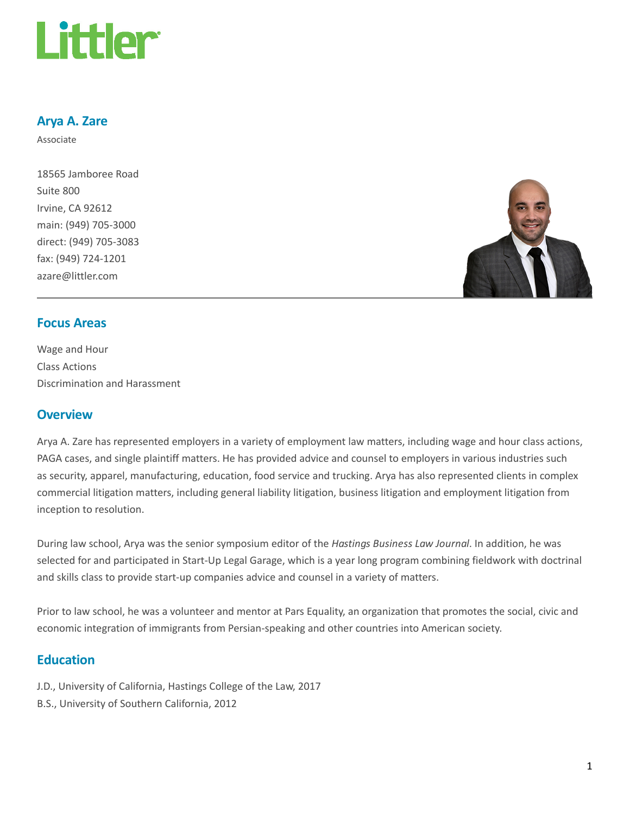

### Arya A. Zare

Associate

18565 Jamboree Road Suite 800 Irvine, CA 92612 main: (949) 705-3000 direct: (949) 705-3083 fax: (949) 724-1201 azare@littler.com



#### Focus Areas

Wage and Hour Class Actions Discrimination and Harassment

#### **Overview**

Arya A. Zare has represented employers in a variety of employment law matters, including wage and hour class actions, PAGA cases, and single plaintiff matters. He has provided advice and counsel to employers in various industries such as security, apparel, manufacturing, education, food service and trucking. Arya has also represented clients in complex commercial litigation matters, including general liability litigation, business litigation and employment litigation from inception to resolution.

During law school, Arya was the senior symposium editor of the Hastings Business Law Journal. In addition, he was selected for and participated in Start-Up Legal Garage, which is a year long program combining fieldwork with doctrinal and skills class to provide start-up companies advice and counsel in a variety of matters.

Prior to law school, he was a volunteer and mentor at Pars Equality, an organization that promotes the social, civic and economic integration of immigrants from Persian-speaking and other countries into American society.

### **Education**

- J.D., University of California, Hastings College of the Law, 2017
- B.S., University of Southern California, 2012